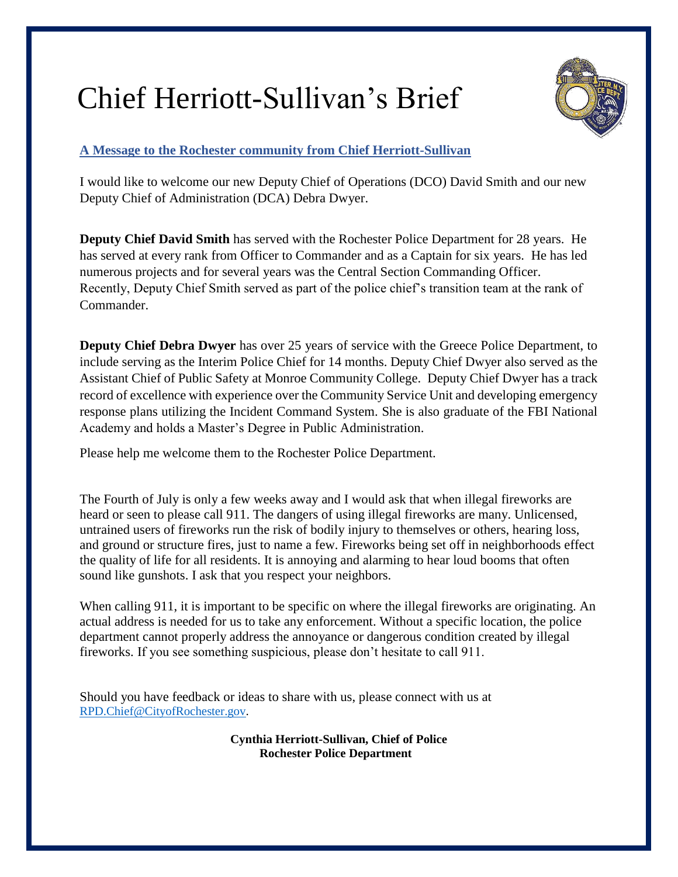# Chief Herriott-Sullivan's Brief



## **A Message to the Rochester community from Chief Herriott-Sullivan**

I would like to welcome our new Deputy Chief of Operations (DCO) David Smith and our new Deputy Chief of Administration (DCA) Debra Dwyer.

**Deputy Chief David Smith** has served with the Rochester Police Department for 28 years. He has served at every rank from Officer to Commander and as a Captain for six years. He has led numerous projects and for several years was the Central Section Commanding Officer. Recently, Deputy Chief Smith served as part of the police chief's transition team at the rank of Commander.

**Deputy Chief Debra Dwyer** has over 25 years of service with the Greece Police Department, to include serving as the Interim Police Chief for 14 months. Deputy Chief Dwyer also served as the Assistant Chief of Public Safety at Monroe Community College. Deputy Chief Dwyer has a track record of excellence with experience over the Community Service Unit and developing emergency response plans utilizing the Incident Command System. She is also graduate of the FBI National Academy and holds a Master's Degree in Public Administration.

Please help me welcome them to the Rochester Police Department.

The Fourth of July is only a few weeks away and I would ask that when illegal fireworks are heard or seen to please call 911. The dangers of using illegal fireworks are many. Unlicensed, untrained users of fireworks run the risk of bodily injury to themselves or others, hearing loss, and ground or structure fires, just to name a few. Fireworks being set off in neighborhoods effect the quality of life for all residents. It is annoying and alarming to hear loud booms that often sound like gunshots. I ask that you respect your neighbors.

When calling 911, it is important to be specific on where the illegal fireworks are originating. An actual address is needed for us to take any enforcement. Without a specific location, the police department cannot properly address the annoyance or dangerous condition created by illegal fireworks. If you see something suspicious, please don't hesitate to call 911.

Should you have feedback or ideas to share with us, please connect with us at [RPD.Chief@CityofRochester.gov.](mailto:RPD.Chief@CityofRochester.gov)

> **Cynthia Herriott-Sullivan, Chief of Police Rochester Police Department**